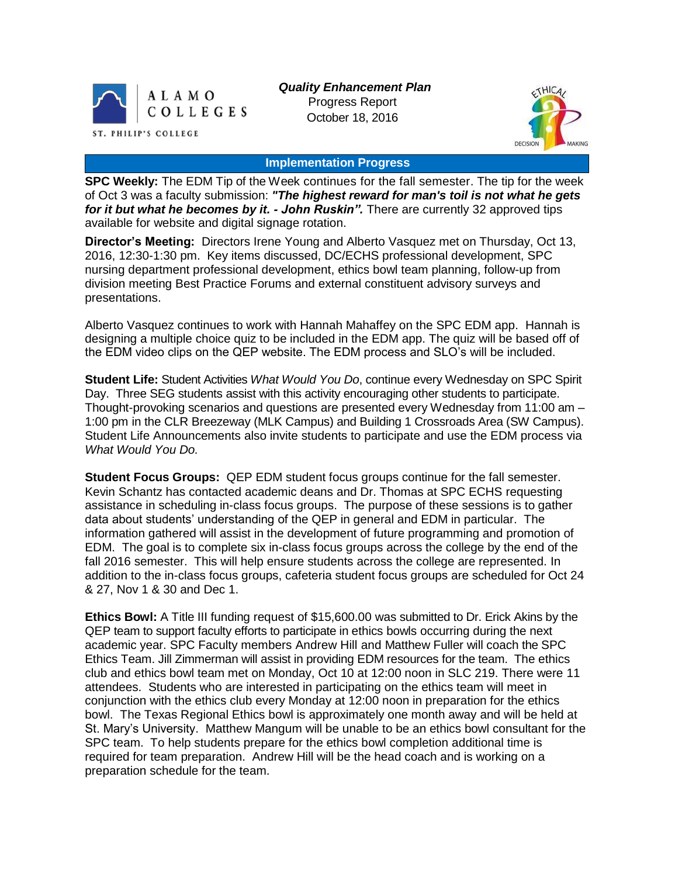

*Quality Enhancement Plan* Progress Report October 18, 2016



#### **Implementation Progress**

**SPC Weekly:** The EDM Tip of the Week continues for the fall semester. The tip for the week of Oct 3 was a faculty submission: *"The highest reward for man's toil is not what he gets for it but what he becomes by it. - John Ruskin".* There are currently 32 approved tips available for website and digital signage rotation.

**Director's Meeting:** Directors Irene Young and Alberto Vasquez met on Thursday, Oct 13, 2016, 12:30-1:30 pm. Key items discussed, DC/ECHS professional development, SPC nursing department professional development, ethics bowl team planning, follow-up from division meeting Best Practice Forums and external constituent advisory surveys and presentations.

Alberto Vasquez continues to work with Hannah Mahaffey on the SPC EDM app. Hannah is designing a multiple choice quiz to be included in the EDM app. The quiz will be based off of the EDM video clips on the QEP website. The EDM process and SLO's will be included.

**Student Life:** Student Activities *What Would You Do*, continue every Wednesday on SPC Spirit Day. Three SEG students assist with this activity encouraging other students to participate. Thought-provoking scenarios and questions are presented every Wednesday from 11:00 am – 1:00 pm in the CLR Breezeway (MLK Campus) and Building 1 Crossroads Area (SW Campus). Student Life Announcements also invite students to participate and use the EDM process via *What Would You Do.*

**Student Focus Groups:** QEP EDM student focus groups continue for the fall semester. Kevin Schantz has contacted academic deans and Dr. Thomas at SPC ECHS requesting assistance in scheduling in-class focus groups. The purpose of these sessions is to gather data about students' understanding of the QEP in general and EDM in particular. The information gathered will assist in the development of future programming and promotion of EDM. The goal is to complete six in-class focus groups across the college by the end of the fall 2016 semester. This will help ensure students across the college are represented. In addition to the in-class focus groups, cafeteria student focus groups are scheduled for Oct 24 & 27, Nov 1 & 30 and Dec 1.

**Ethics Bowl:** A Title III funding request of \$15,600.00 was submitted to Dr. Erick Akins by the QEP team to support faculty efforts to participate in ethics bowls occurring during the next academic year. SPC Faculty members Andrew Hill and Matthew Fuller will coach the SPC Ethics Team. Jill Zimmerman will assist in providing EDM resources for the team. The ethics club and ethics bowl team met on Monday, Oct 10 at 12:00 noon in SLC 219. There were 11 attendees. Students who are interested in participating on the ethics team will meet in conjunction with the ethics club every Monday at 12:00 noon in preparation for the ethics bowl. The Texas Regional Ethics bowl is approximately one month away and will be held at St. Mary's University. Matthew Mangum will be unable to be an ethics bowl consultant for the SPC team. To help students prepare for the ethics bowl completion additional time is required for team preparation. Andrew Hill will be the head coach and is working on a preparation schedule for the team.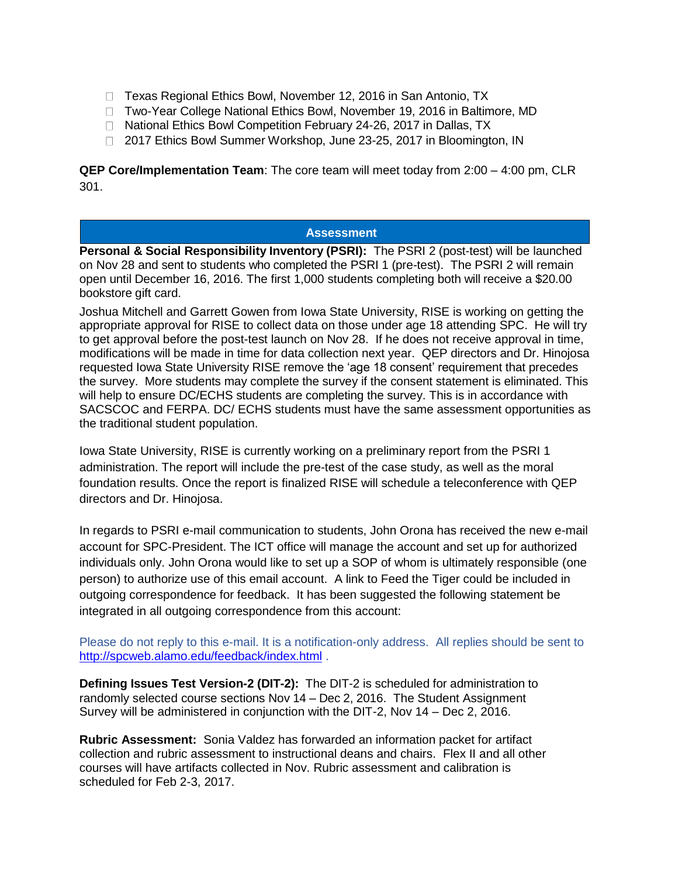- □ Texas Regional Ethics Bowl, November 12, 2016 in San Antonio, TX
- □ Two-Year College National Ethics Bowl, November 19, 2016 in Baltimore, MD
- □ National Ethics Bowl Competition February 24-26, 2017 in Dallas, TX
- □ 2017 Ethics Bowl Summer Workshop, June 23-25, 2017 in Bloomington, IN

**QEP Core/Implementation Team**: The core team will meet today from 2:00 – 4:00 pm, CLR 301.

## **Assessment**

**Personal & Social Responsibility Inventory (PSRI):** The PSRI 2 (post-test) will be launched on Nov 28 and sent to students who completed the PSRI 1 (pre-test). The PSRI 2 will remain open until December 16, 2016. The first 1,000 students completing both will receive a \$20.00 bookstore gift card.

Joshua Mitchell and Garrett Gowen from Iowa State University, RISE is working on getting the appropriate approval for RISE to collect data on those under age 18 attending SPC. He will try to get approval before the post-test launch on Nov 28. If he does not receive approval in time, modifications will be made in time for data collection next year. QEP directors and Dr. Hinojosa requested Iowa State University RISE remove the 'age 18 consent' requirement that precedes the survey. More students may complete the survey if the consent statement is eliminated. This will help to ensure DC/ECHS students are completing the survey. This is in accordance with SACSCOC and FERPA. DC/ ECHS students must have the same assessment opportunities as the traditional student population.

Iowa State University, RISE is currently working on a preliminary report from the PSRI 1 administration. The report will include the pre-test of the case study, as well as the moral foundation results. Once the report is finalized RISE will schedule a teleconference with QEP directors and Dr. Hinojosa.

In regards to PSRI e-mail communication to students, John Orona has received the new e-mail account for SPC-President. The ICT office will manage the account and set up for authorized individuals only. John Orona would like to set up a SOP of whom is ultimately responsible (one person) to authorize use of this email account. A link to Feed the Tiger could be included in outgoing correspondence for feedback. It has been suggested the following statement be integrated in all outgoing correspondence from this account:

Please do not reply to this e-mail. It is a notification-only address. All replies should be sent to [http://spcweb.alamo.edu/feedback/index.html](https://mail.alamo.edu/owa/redir.aspx?C=mawO8X7fmD1aNFeUldgaleTfj86GBQJz2F8Z990APU7i6ZYu1u7TCA..&URL=http%3a%2f%2fspcweb.alamo.edu%2ffeedback%2findex.html) .

**Defining Issues Test Version-2 (DIT-2):** The DIT-2 is scheduled for administration to randomly selected course sections Nov 14 – Dec 2, 2016. The Student Assignment Survey will be administered in conjunction with the DIT-2, Nov 14 – Dec 2, 2016.

**Rubric Assessment:** Sonia Valdez has forwarded an information packet for artifact collection and rubric assessment to instructional deans and chairs. Flex II and all other courses will have artifacts collected in Nov. Rubric assessment and calibration is scheduled for Feb 2-3, 2017.